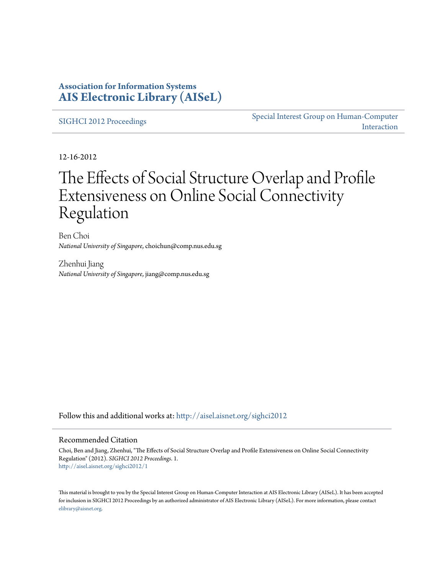# **Association for Information Systems [AIS Electronic Library \(AISeL\)](http://aisel.aisnet.org?utm_source=aisel.aisnet.org%2Fsighci2012%2F1&utm_medium=PDF&utm_campaign=PDFCoverPages)**

[SIGHCI 2012 Proceedings](http://aisel.aisnet.org/sighci2012?utm_source=aisel.aisnet.org%2Fsighci2012%2F1&utm_medium=PDF&utm_campaign=PDFCoverPages)

[Special Interest Group on Human-Computer](http://aisel.aisnet.org/sighci?utm_source=aisel.aisnet.org%2Fsighci2012%2F1&utm_medium=PDF&utm_campaign=PDFCoverPages) [Interaction](http://aisel.aisnet.org/sighci?utm_source=aisel.aisnet.org%2Fsighci2012%2F1&utm_medium=PDF&utm_campaign=PDFCoverPages)

12-16-2012

# The Effects of Social Structure Overlap and Profile Extensiveness on Online Social Connectivity Regulation

Ben Choi *National University of Singapore*, choichun@comp.nus.edu.sg

Zhenhui Jiang *National University of Singapore*, jiang@comp.nus.edu.sg

Follow this and additional works at: [http://aisel.aisnet.org/sighci2012](http://aisel.aisnet.org/sighci2012?utm_source=aisel.aisnet.org%2Fsighci2012%2F1&utm_medium=PDF&utm_campaign=PDFCoverPages)

# Recommended Citation

Choi, Ben and Jiang, Zhenhui, "The Effects of Social Structure Overlap and Profile Extensiveness on Online Social Connectivity Regulation" (2012). *SIGHCI 2012 Proceedings*. 1. [http://aisel.aisnet.org/sighci2012/1](http://aisel.aisnet.org/sighci2012/1?utm_source=aisel.aisnet.org%2Fsighci2012%2F1&utm_medium=PDF&utm_campaign=PDFCoverPages)

This material is brought to you by the Special Interest Group on Human-Computer Interaction at AIS Electronic Library (AISeL). It has been accepted for inclusion in SIGHCI 2012 Proceedings by an authorized administrator of AIS Electronic Library (AISeL). For more information, please contact [elibrary@aisnet.org.](mailto:elibrary@aisnet.org%3E)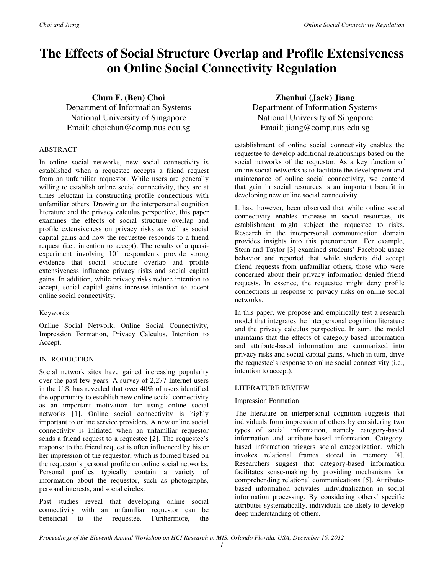# **The Effects of Social Structure Overlap and Profile Extensiveness on Online Social Connectivity Regulation**

**Chun F. (Ben) Choi**  Department of Information Systems National University of Singapore Email: choichun@comp.nus.edu.sg

## ABSTRACT

In online social networks, new social connectivity is established when a requestee accepts a friend request from an unfamiliar requestor. While users are generally willing to establish online social connectivity, they are at times reluctant in constructing profile connections with unfamiliar others. Drawing on the interpersonal cognition literature and the privacy calculus perspective, this paper examines the effects of social structure overlap and profile extensiveness on privacy risks as well as social capital gains and how the requestee responds to a friend request (i.e., intention to accept). The results of a quasiexperiment involving 101 respondents provide strong evidence that social structure overlap and profile extensiveness influence privacy risks and social capital gains. In addition, while privacy risks reduce intention to accept, social capital gains increase intention to accept online social connectivity.

## Keywords

Online Social Network, Online Social Connectivity, Impression Formation, Privacy Calculus, Intention to Accept.

## INTRODUCTION

Social network sites have gained increasing popularity over the past few years. A survey of 2,277 Internet users in the U.S. has revealed that over 40% of users identified the opportunity to establish new online social connectivity as an important motivation for using online social networks [1]. Online social connectivity is highly important to online service providers. A new online social connectivity is initiated when an unfamiliar requestor sends a friend request to a requestee [2]. The requestee's response to the friend request is often influenced by his or her impression of the requestor, which is formed based on the requestor's personal profile on online social networks. Personal profiles typically contain a variety of information about the requestor, such as photographs, personal interests, and social circles.

Past studies reveal that developing online social connectivity with an unfamiliar requestor can be beneficial to the requestee. Furthermore, the

# **Zhenhui (Jack) Jiang**

Department of Information Systems National University of Singapore Email: jiang@comp.nus.edu.sg

establishment of online social connectivity enables the requestee to develop additional relationships based on the social networks of the requestor. As a key function of online social networks is to facilitate the development and maintenance of online social connectivity, we contend that gain in social resources is an important benefit in developing new online social connectivity.

It has, however, been observed that while online social connectivity enables increase in social resources, its establishment might subject the requestee to risks. Research in the interpersonal communication domain provides insights into this phenomenon. For example, Stern and Taylor [3] examined students' Facebook usage behavior and reported that while students did accept friend requests from unfamiliar others, those who were concerned about their privacy information denied friend requests. In essence, the requestee might deny profile connections in response to privacy risks on online social networks.

In this paper, we propose and empirically test a research model that integrates the interpersonal cognition literature and the privacy calculus perspective. In sum, the model maintains that the effects of category-based information and attribute-based information are summarized into privacy risks and social capital gains, which in turn, drive the requestee's response to online social connectivity (i.e., intention to accept).

#### LITERATURE REVIEW

#### Impression Formation

The literature on interpersonal cognition suggests that individuals form impression of others by considering two types of social information, namely category-based information and attribute-based information. Categorybased information triggers social categorization, which invokes relational frames stored in memory [4]. Researchers suggest that category-based information facilitates sense-making by providing mechanisms for comprehending relational communications [5]. Attributebased information activates individualization in social information processing. By considering others' specific attributes systematically, individuals are likely to develop deep understanding of others.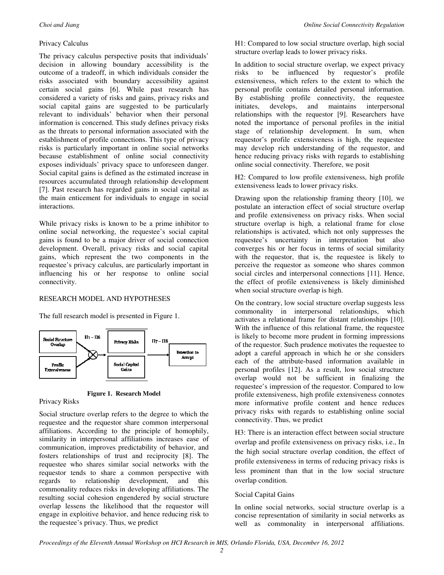# Privacy Calculus

The privacy calculus perspective posits that individuals' decision in allowing boundary accessibility is the outcome of a tradeoff, in which individuals consider the risks associated with boundary accessibility against certain social gains [6]. While past research has considered a variety of risks and gains, privacy risks and social capital gains are suggested to be particularly relevant to individuals' behavior when their personal information is concerned. This study defines privacy risks as the threats to personal information associated with the establishment of profile connections. This type of privacy risks is particularly important in online social networks because establishment of online social connectivity exposes individuals' privacy space to unforeseen danger. Social capital gains is defined as the estimated increase in resources accumulated through relationship development [7]. Past research has regarded gains in social capital as the main enticement for individuals to engage in social interactions.

While privacy risks is known to be a prime inhibitor to online social networking, the requestee's social capital gains is found to be a major driver of social connection development. Overall, privacy risks and social capital gains, which represent the two components in the requestee's privacy calculus, are particularly important in influencing his or her response to online social connectivity.

#### RESEARCH MODEL AND HYPOTHESES

The full research model is presented in Figure 1.



**Figure 1. Research Model**

Privacy Risks

Social structure overlap refers to the degree to which the requestee and the requestor share common interpersonal affiliations. According to the principle of homophily, similarity in interpersonal affiliations increases ease of communication, improves predictability of behavior, and fosters relationships of trust and reciprocity [8]. The requestee who shares similar social networks with the requestor tends to share a common perspective with regards to relationship development, and this commonality reduces risks in developing affiliations. The resulting social cohesion engendered by social structure overlap lessens the likelihood that the requestor will engage in exploitive behavior, and hence reducing risk to the requestee's privacy. Thus, we predict

H1: Compared to low social structure overlap, high social structure overlap leads to lower privacy risks.

In addition to social structure overlap, we expect privacy risks to be influenced by requestor's profile extensiveness, which refers to the extent to which the personal profile contains detailed personal information. By establishing profile connectivity, the requestee initiates, develops, and maintains interpersonal relationships with the requestor [9]. Researchers have noted the importance of personal profiles in the initial stage of relationship development. In sum, when requestor's profile extensiveness is high, the requestee may develop rich understanding of the requestor, and hence reducing privacy risks with regards to establishing online social connectivity. Therefore, we posit

H2: Compared to low profile extensiveness, high profile extensiveness leads to lower privacy risks.

Drawing upon the relationship framing theory [10], we postulate an interaction effect of social structure overlap and profile extensiveness on privacy risks. When social structure overlap is high, a relational frame for close relationships is activated, which not only suppresses the requestee's uncertainty in interpretation but also converges his or her focus in terms of social similarity with the requestor, that is, the requestee is likely to perceive the requestor as someone who shares common social circles and interpersonal connections [11]. Hence, the effect of profile extensiveness is likely diminished when social structure overlap is high.

On the contrary, low social structure overlap suggests less commonality in interpersonal relationships, which activates a relational frame for distant relationships [10]. With the influence of this relational frame, the requestee is likely to become more prudent in forming impressions of the requestor. Such prudence motivates the requestee to adopt a careful approach in which he or she considers each of the attribute-based information available in personal profiles [12]. As a result, low social structure overlap would not be sufficient in finalizing the requestee's impression of the requestor. Compared to low profile extensiveness, high profile extensiveness connotes more informative profile content and hence reduces privacy risks with regards to establishing online social connectivity. Thus, we predict

H3: There is an interaction effect between social structure overlap and profile extensiveness on privacy risks, i.e., In the high social structure overlap condition, the effect of profile extensiveness in terms of reducing privacy risks is less prominent than that in the low social structure overlap condition.

## Social Capital Gains

In online social networks, social structure overlap is a concise representation of similarity in social networks as well as commonality in interpersonal affiliations.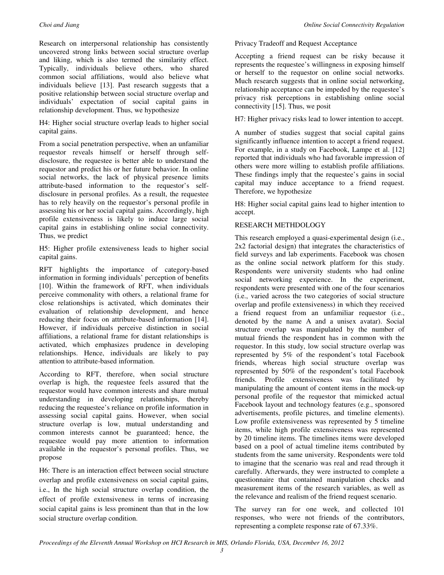Research on interpersonal relationship has consistently uncovered strong links between social structure overlap and liking, which is also termed the similarity effect. Typically, individuals believe others, who shared common social affiliations, would also believe what individuals believe [13]. Past research suggests that a positive relationship between social structure overlap and individuals' expectation of social capital gains in relationship development. Thus, we hypothesize

H4: Higher social structure overlap leads to higher social capital gains.

From a social penetration perspective, when an unfamiliar requestor reveals himself or herself through selfdisclosure, the requestee is better able to understand the requestor and predict his or her future behavior. In online social networks, the lack of physical presence limits attribute-based information to the requestor's selfdisclosure in personal profiles. As a result, the requestee has to rely heavily on the requestor's personal profile in assessing his or her social capital gains. Accordingly, high profile extensiveness is likely to induce large social capital gains in establishing online social connectivity. Thus, we predict

H5: Higher profile extensiveness leads to higher social capital gains.

RFT highlights the importance of category-based information in forming individuals' perception of benefits [10]. Within the framework of RFT, when individuals perceive commonality with others, a relational frame for close relationships is activated, which dominates their evaluation of relationship development, and hence reducing their focus on attribute-based information [14]. However, if individuals perceive distinction in social affiliations, a relational frame for distant relationships is activated, which emphasizes prudence in developing relationships. Hence, individuals are likely to pay attention to attribute-based information.

According to RFT, therefore, when social structure overlap is high, the requestee feels assured that the requestor would have common interests and share mutual understanding in developing relationships, thereby reducing the requestee's reliance on profile information in assessing social capital gains. However, when social structure overlap is low, mutual understanding and common interests cannot be guaranteed; hence, the requestee would pay more attention to information available in the requestor's personal profiles. Thus, we propose

H6: There is an interaction effect between social structure overlap and profile extensiveness on social capital gains, i.e., In the high social structure overlap condition, the effect of profile extensiveness in terms of increasing social capital gains is less prominent than that in the low social structure overlap condition.

Privacy Tradeoff and Request Acceptance

Accepting a friend request can be risky because it represents the requestee's willingness in exposing himself or herself to the requestor on online social networks. Much research suggests that in online social networking, relationship acceptance can be impeded by the requestee's privacy risk perceptions in establishing online social connectivity [15]. Thus, we posit

H7: Higher privacy risks lead to lower intention to accept.

A number of studies suggest that social capital gains significantly influence intention to accept a friend request. For example, in a study on Facebook, Lampe et al. [12] reported that individuals who had favorable impression of others were more willing to establish profile affiliations. These findings imply that the requestee's gains in social capital may induce acceptance to a friend request. Therefore, we hypothesize

H8: Higher social capital gains lead to higher intention to accept.

# RESEARCH METHDOLOGY

This research employed a quasi-experimental design (i.e., 2x2 factorial design) that integrates the characteristics of field surveys and lab experiments. Facebook was chosen as the online social network platform for this study. Respondents were university students who had online social networking experience. In the experiment, respondents were presented with one of the four scenarios (i.e., varied across the two categories of social structure overlap and profile extensiveness) in which they received a friend request from an unfamiliar requestor (i.e., denoted by the name A and a unisex avatar). Social structure overlap was manipulated by the number of mutual friends the respondent has in common with the requestor. In this study, low social structure overlap was represented by 5% of the respondent's total Facebook friends, whereas high social structure overlap was represented by 50% of the respondent's total Facebook friends. Profile extensiveness was facilitated by manipulating the amount of content items in the mock-up personal profile of the requestor that mimicked actual Facebook layout and technology features (e.g., sponsored advertisements, profile pictures, and timeline elements). Low profile extensiveness was represented by 5 timeline items, while high profile extensiveness was represented by 20 timeline items. The timelines items were developed based on a pool of actual timeline items contributed by students from the same university. Respondents were told to imagine that the scenario was real and read through it carefully. Afterwards, they were instructed to complete a questionnaire that contained manipulation checks and measurement items of the research variables, as well as the relevance and realism of the friend request scenario.

The survey ran for one week, and collected 101 responses, who were not friends of the contributors, representing a complete response rate of 67.33%.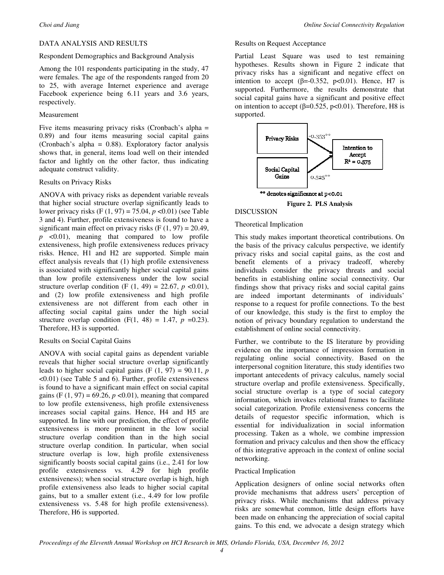## DATA ANALYSIS AND RESULTS

## Respondent Demographics and Background Analysis

Among the 101 respondents participating in the study, 47 were females. The age of the respondents ranged from 20 to 25, with average Internet experience and average Facebook experience being 6.11 years and 3.6 years, respectively.

#### Measurement

Five items measuring privacy risks (Cronbach's alpha = 0.89) and four items measuring social capital gains (Cronbach's alpha = 0.88). Exploratory factor analysis shows that, in general, items load well on their intended factor and lightly on the other factor, thus indicating adequate construct validity.

#### Results on Privacy Risks

ANOVA with privacy risks as dependent variable reveals that higher social structure overlap significantly leads to lower privacy risks (F (1, 97) = 75.04, *p* <0.01) (see Table 3 and 4). Further, profile extensiveness is found to have a significant main effect on privacy risks  $(F (1, 97) = 20.49)$ ,  $p \leq 0.01$ , meaning that compared to low profile extensiveness, high profile extensiveness reduces privacy risks. Hence, H1 and H2 are supported. Simple main effect analysis reveals that (1) high profile extensiveness is associated with significantly higher social capital gains than low profile extensiveness under the low social structure overlap condition (F  $(1, 49) = 22.67$ ,  $p < 0.01$ ), and (2) low profile extensiveness and high profile extensiveness are not different from each other in affecting social capital gains under the high social structure overlap condition  $(F(1, 48) = 1.47, p = 0.23)$ . Therefore, H3 is supported.

## Results on Social Capital Gains

ANOVA with social capital gains as dependent variable reveals that higher social structure overlap significantly leads to higher social capital gains (F  $(1, 97) = 90.11$ , *p* <0.01) (see Table 5 and 6). Further, profile extensiveness is found to have a significant main effect on social capital gains (F  $(1, 97) = 69.26, p < 0.01$ ), meaning that compared to low profile extensiveness, high profile extensiveness increases social capital gains. Hence, H4 and H5 are supported. In line with our prediction, the effect of profile extensiveness is more prominent in the low social structure overlap condition than in the high social structure overlap condition. In particular, when social structure overlap is low, high profile extensiveness significantly boosts social capital gains (i.e., 2.41 for low profile extensiveness vs. 4.29 for high profile extensiveness); when social structure overlap is high, high profile extensiveness also leads to higher social capital gains, but to a smaller extent (i.e., 4.49 for low profile extensiveness vs. 5.48 for high profile extensiveness). Therefore, H6 is supported.

#### Results on Request Acceptance

Partial Least Square was used to test remaining hypotheses. Results shown in Figure 2 indicate that privacy risks has a significant and negative effect on intention to accept ( $\beta$ =-0.352, p<0.01). Hence, H7 is supported. Furthermore, the results demonstrate that social capital gains have a significant and positive effect on intention to accept ( $\beta$ =0.525, p<0.01). Therefore, H8 is supported.



#### **Figure 2. PLS Analysis** DISCUSSION

# Theoretical Implication

This study makes important theoretical contributions. On the basis of the privacy calculus perspective, we identify privacy risks and social capital gains, as the cost and benefit elements of a privacy tradeoff, whereby individuals consider the privacy threats and social benefits in establishing online social connectivity. Our findings show that privacy risks and social capital gains are indeed important determinants of individuals' response to a request for profile connections. To the best of our knowledge, this study is the first to employ the notion of privacy boundary regulation to understand the establishment of online social connectivity.

Further, we contribute to the IS literature by providing evidence on the importance of impression formation in regulating online social connectivity. Based on the interpersonal cognition literature, this study identifies two important antecedents of privacy calculus, namely social structure overlap and profile extensiveness. Specifically, social structure overlap is a type of social category information, which invokes relational frames to facilitate social categorization. Profile extensiveness concerns the details of requestor specific information, which is essential for individualization in social information processing. Taken as a whole, we combine impression formation and privacy calculus and then show the efficacy of this integrative approach in the context of online social networking.

## Practical Implication

Application designers of online social networks often provide mechanisms that address users' perception of privacy risks. While mechanisms that address privacy risks are somewhat common, little design efforts have been made on enhancing the appreciation of social capital gains. To this end, we advocate a design strategy which